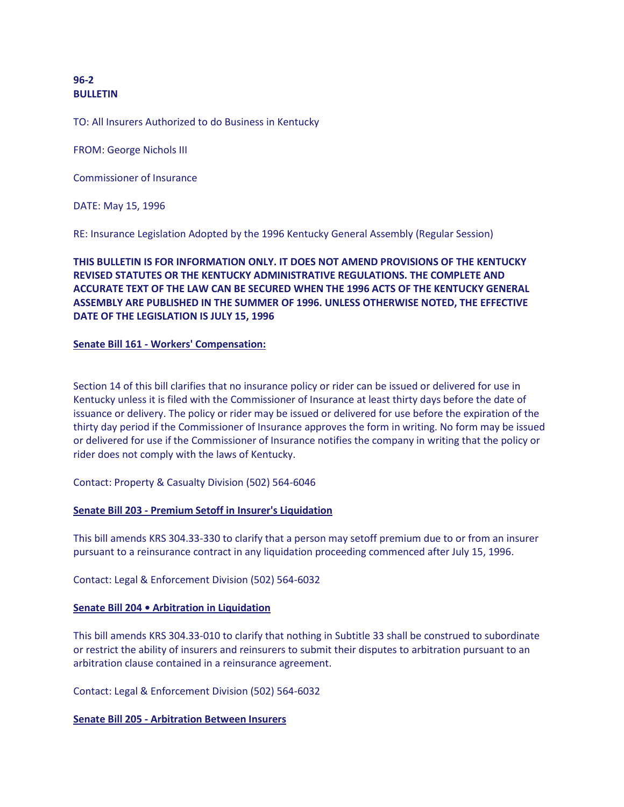# **96-2 BULLETIN**

TO: All Insurers Authorized to do Business in Kentucky

FROM: George Nichols III

Commissioner of Insurance

DATE: May 15, 1996

RE: Insurance Legislation Adopted by the 1996 Kentucky General Assembly (Regular Session)

# **THIS BULLETIN IS FOR INFORMATION ONLY. IT DOES NOT AMEND PROVISIONS OF THE KENTUCKY REVISED STATUTES OR THE KENTUCKY ADMINISTRATIVE REGULATIONS. THE COMPLETE AND ACCURATE TEXT OF THE LAW CAN BE SECURED WHEN THE 1996 ACTS OF THE KENTUCKY GENERAL ASSEMBLY ARE PUBLISHED IN THE SUMMER OF 1996. UNLESS OTHERWISE NOTED, THE EFFECTIVE DATE OF THE LEGISLATION IS JULY 15, 1996**

### **Senate Bill 161 - Workers' Compensation:**

Section 14 of this bill clarifies that no insurance policy or rider can be issued or delivered for use in Kentucky unless it is filed with the Commissioner of Insurance at least thirty days before the date of issuance or delivery. The policy or rider may be issued or delivered for use before the expiration of the thirty day period if the Commissioner of Insurance approves the form in writing. No form may be issued or delivered for use if the Commissioner of Insurance notifies the company in writing that the policy or rider does not comply with the laws of Kentucky.

Contact: Property & Casualty Division (502) 564-6046

### **Senate Bill 203 - Premium Setoff in Insurer's Liquidation**

This bill amends KRS 304.33-330 to clarify that a person may setoff premium due to or from an insurer pursuant to a reinsurance contract in any liquidation proceeding commenced after July 15, 1996.

Contact: Legal & Enforcement Division (502) 564-6032

### **Senate Bill 204 • Arbitration in Liquidation**

This bill amends KRS 304.33-010 to clarify that nothing in Subtitle 33 shall be construed to subordinate or restrict the ability of insurers and reinsurers to submit their disputes to arbitration pursuant to an arbitration clause contained in a reinsurance agreement.

Contact: Legal & Enforcement Division (502) 564-6032

### **Senate Bill 205 - Arbitration Between Insurers**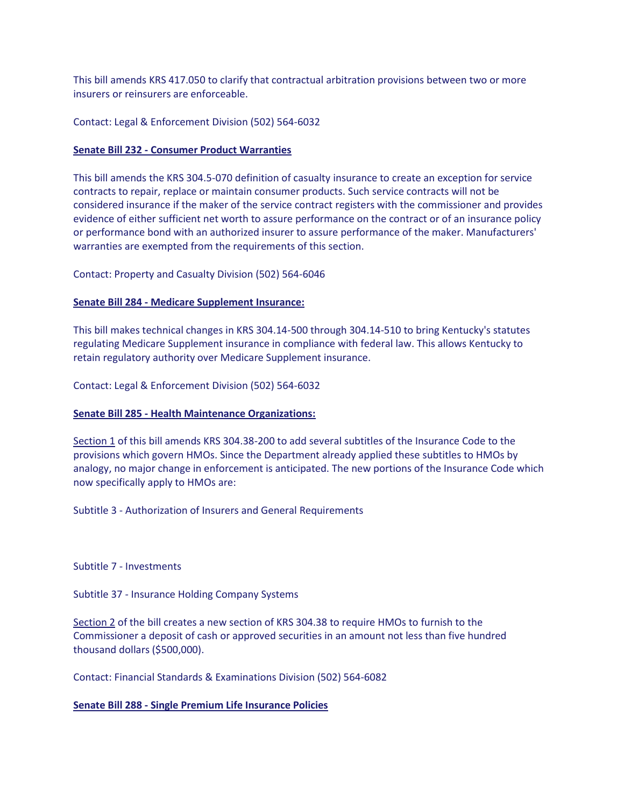This bill amends KRS 417.050 to clarify that contractual arbitration provisions between two or more insurers or reinsurers are enforceable.

## Contact: Legal & Enforcement Division (502) 564-6032

## **Senate Bill 232 - Consumer Product Warranties**

This bill amends the KRS 304.5-070 definition of casualty insurance to create an exception for service contracts to repair, replace or maintain consumer products. Such service contracts will not be considered insurance if the maker of the service contract registers with the commissioner and provides evidence of either sufficient net worth to assure performance on the contract or of an insurance policy or performance bond with an authorized insurer to assure performance of the maker. Manufacturers' warranties are exempted from the requirements of this section.

Contact: Property and Casualty Division (502) 564-6046

# **Senate Bill 284 - Medicare Supplement Insurance:**

This bill makes technical changes in KRS 304.14-500 through 304.14-510 to bring Kentucky's statutes regulating Medicare Supplement insurance in compliance with federal law. This allows Kentucky to retain regulatory authority over Medicare Supplement insurance.

Contact: Legal & Enforcement Division (502) 564-6032

### **Senate Bill 285 - Health Maintenance Organizations:**

Section 1 of this bill amends KRS 304.38-200 to add several subtitles of the Insurance Code to the provisions which govern HMOs. Since the Department already applied these subtitles to HMOs by analogy, no major change in enforcement is anticipated. The new portions of the Insurance Code which now specifically apply to HMOs are:

Subtitle 3 - Authorization of Insurers and General Requirements

Subtitle 7 - Investments

Subtitle 37 - Insurance Holding Company Systems

Section 2 of the bill creates a new section of KRS 304.38 to require HMOs to furnish to the Commissioner a deposit of cash or approved securities in an amount not less than five hundred thousand dollars (\$500,000).

Contact: Financial Standards & Examinations Division (502) 564-6082

### **Senate Bill 288 - Single Premium Life Insurance Policies**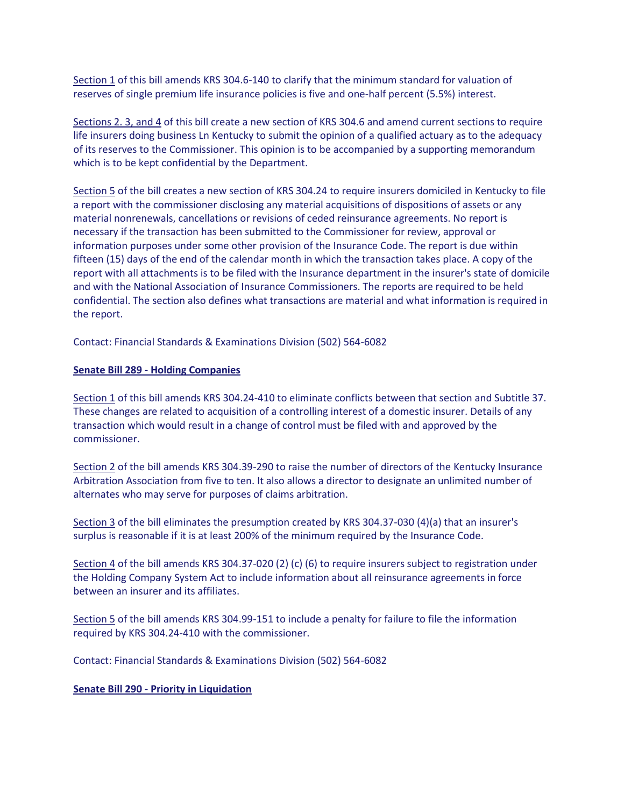Section 1 of this bill amends KRS 304.6-140 to clarify that the minimum standard for valuation of reserves of single premium life insurance policies is five and one-half percent (5.5%) interest.

Sections 2. 3, and 4 of this bill create a new section of KRS 304.6 and amend current sections to require life insurers doing business Ln Kentucky to submit the opinion of a qualified actuary as to the adequacy of its reserves to the Commissioner. This opinion is to be accompanied by a supporting memorandum which is to be kept confidential by the Department.

Section 5 of the bill creates a new section of KRS 304.24 to require insurers domiciled in Kentucky to file a report with the commissioner disclosing any material acquisitions of dispositions of assets or any material nonrenewals, cancellations or revisions of ceded reinsurance agreements. No report is necessary if the transaction has been submitted to the Commissioner for review, approval or information purposes under some other provision of the Insurance Code. The report is due within fifteen (15) days of the end of the calendar month in which the transaction takes place. A copy of the report with all attachments is to be filed with the Insurance department in the insurer's state of domicile and with the National Association of Insurance Commissioners. The reports are required to be held confidential. The section also defines what transactions are material and what information is required in the report.

Contact: Financial Standards & Examinations Division (502) 564-6082

# **Senate Bill 289 - Holding Companies**

Section 1 of this bill amends KRS 304.24-410 to eliminate conflicts between that section and Subtitle 37. These changes are related to acquisition of a controlling interest of a domestic insurer. Details of any transaction which would result in a change of control must be filed with and approved by the commissioner.

Section 2 of the bill amends KRS 304.39-290 to raise the number of directors of the Kentucky Insurance Arbitration Association from five to ten. It also allows a director to designate an unlimited number of alternates who may serve for purposes of claims arbitration.

Section 3 of the bill eliminates the presumption created by KRS 304.37-030 (4)(a) that an insurer's surplus is reasonable if it is at least 200% of the minimum required by the Insurance Code.

Section 4 of the bill amends KRS 304.37-020 (2) (c) (6) to require insurers subject to registration under the Holding Company System Act to include information about all reinsurance agreements in force between an insurer and its affiliates.

Section 5 of the bill amends KRS 304.99-151 to include a penalty for failure to file the information required by KRS 304.24-410 with the commissioner.

Contact: Financial Standards & Examinations Division (502) 564-6082

**Senate Bill 290 - Priority in Liquidation**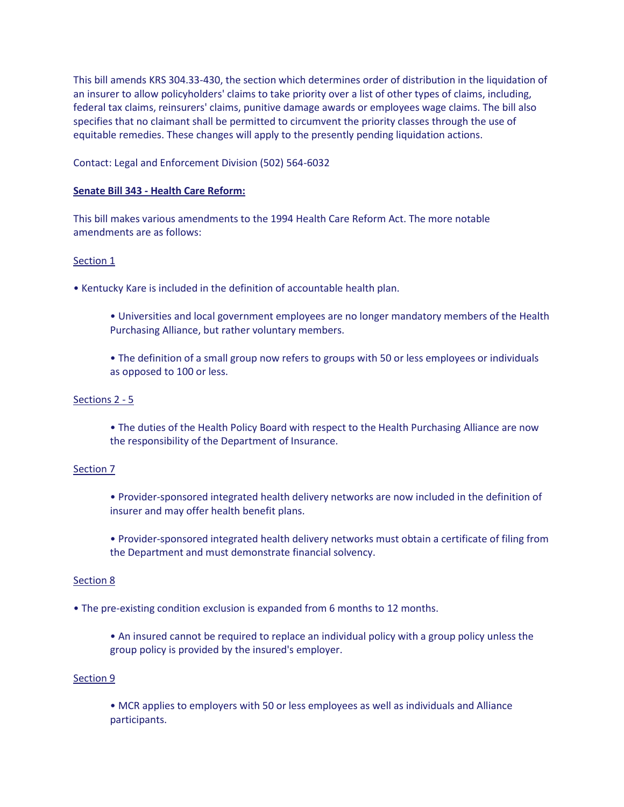This bill amends KRS 304.33-430, the section which determines order of distribution in the liquidation of an insurer to allow policyholders' claims to take priority over a list of other types of claims, including, federal tax claims, reinsurers' claims, punitive damage awards or employees wage claims. The bill also specifies that no claimant shall be permitted to circumvent the priority classes through the use of equitable remedies. These changes will apply to the presently pending liquidation actions.

Contact: Legal and Enforcement Division (502) 564-6032

# **Senate Bill 343 - Health Care Reform:**

This bill makes various amendments to the 1994 Health Care Reform Act. The more notable amendments are as follows:

# Section 1

• Kentucky Kare is included in the definition of accountable health plan.

- Universities and local government employees are no longer mandatory members of the Health Purchasing Alliance, but rather voluntary members.
- The definition of a small group now refers to groups with 50 or less employees or individuals as opposed to 100 or less.

## Sections 2 - 5

• The duties of the Health Policy Board with respect to the Health Purchasing Alliance are now the responsibility of the Department of Insurance.

### Section 7

• Provider-sponsored integrated health delivery networks are now included in the definition of insurer and may offer health benefit plans.

• Provider-sponsored integrated health delivery networks must obtain a certificate of filing from the Department and must demonstrate financial solvency.

### Section 8

• The pre-existing condition exclusion is expanded from 6 months to 12 months.

• An insured cannot be required to replace an individual policy with a group policy unless the group policy is provided by the insured's employer.

### Section 9

• MCR applies to employers with 50 or less employees as well as individuals and Alliance participants.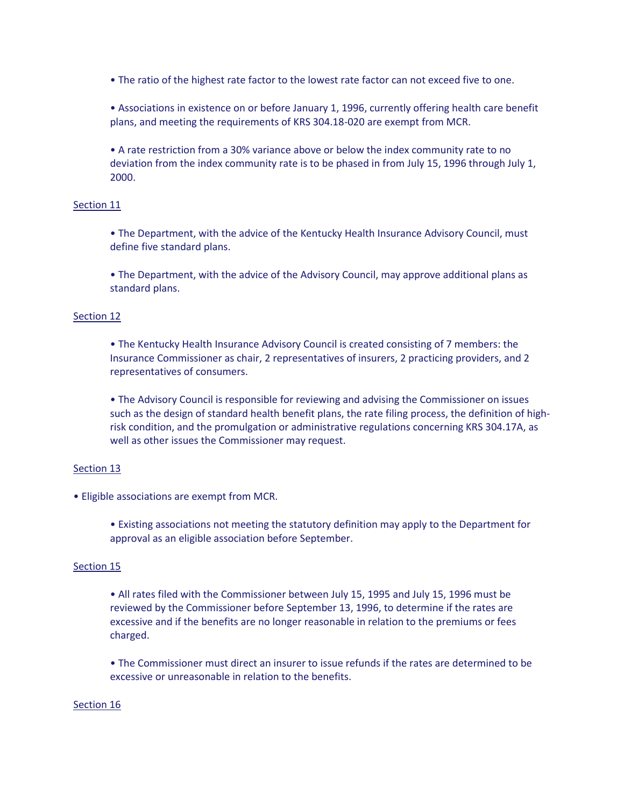• The ratio of the highest rate factor to the lowest rate factor can not exceed five to one.

• Associations in existence on or before January 1, 1996, currently offering health care benefit plans, and meeting the requirements of KRS 304.18-020 are exempt from MCR.

• A rate restriction from a 30% variance above or below the index community rate to no deviation from the index community rate is to be phased in from July 15, 1996 through July 1, 2000.

# Section 11

• The Department, with the advice of the Kentucky Health Insurance Advisory Council, must define five standard plans.

• The Department, with the advice of the Advisory Council, may approve additional plans as standard plans.

### Section 12

• The Kentucky Health Insurance Advisory Council is created consisting of 7 members: the Insurance Commissioner as chair, 2 representatives of insurers, 2 practicing providers, and 2 representatives of consumers.

• The Advisory Council is responsible for reviewing and advising the Commissioner on issues such as the design of standard health benefit plans, the rate filing process, the definition of highrisk condition, and the promulgation or administrative regulations concerning KRS 304.17A, as well as other issues the Commissioner may request.

### Section 13

• Eligible associations are exempt from MCR.

• Existing associations not meeting the statutory definition may apply to the Department for approval as an eligible association before September.

### Section 15

• All rates filed with the Commissioner between July 15, 1995 and July 15, 1996 must be reviewed by the Commissioner before September 13, 1996, to determine if the rates are excessive and if the benefits are no longer reasonable in relation to the premiums or fees charged.

• The Commissioner must direct an insurer to issue refunds if the rates are determined to be excessive or unreasonable in relation to the benefits.

### Section 16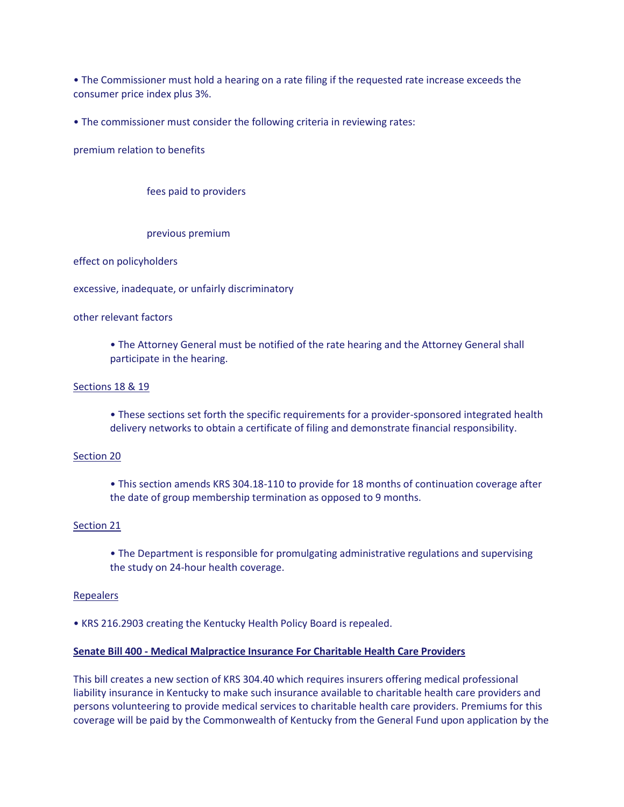• The Commissioner must hold a hearing on a rate filing if the requested rate increase exceeds the consumer price index plus 3%.

• The commissioner must consider the following criteria in reviewing rates:

premium relation to benefits

fees paid to providers

previous premium

effect on policyholders

excessive, inadequate, or unfairly discriminatory

other relevant factors

• The Attorney General must be notified of the rate hearing and the Attorney General shall participate in the hearing.

#### Sections 18 & 19

• These sections set forth the specific requirements for a provider-sponsored integrated health delivery networks to obtain a certificate of filing and demonstrate financial responsibility.

#### Section 20

• This section amends KRS 304.18-110 to provide for 18 months of continuation coverage after the date of group membership termination as opposed to 9 months.

#### Section 21

• The Department is responsible for promulgating administrative regulations and supervising the study on 24-hour health coverage.

#### Repealers

• KRS 216.2903 creating the Kentucky Health Policy Board is repealed.

## **Senate Bill 400 - Medical Malpractice Insurance For Charitable Health Care Providers**

This bill creates a new section of KRS 304.40 which requires insurers offering medical professional liability insurance in Kentucky to make such insurance available to charitable health care providers and persons volunteering to provide medical services to charitable health care providers. Premiums for this coverage will be paid by the Commonwealth of Kentucky from the General Fund upon application by the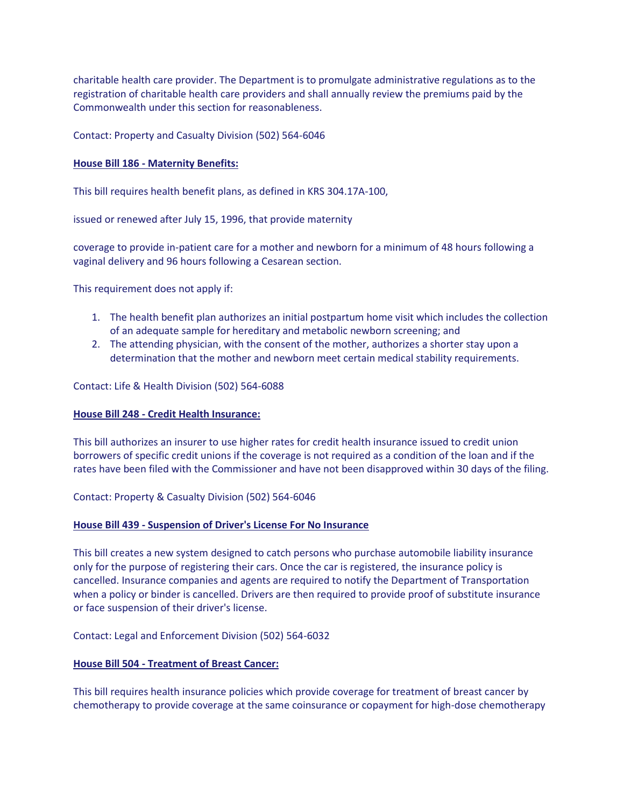charitable health care provider. The Department is to promulgate administrative regulations as to the registration of charitable health care providers and shall annually review the premiums paid by the Commonwealth under this section for reasonableness.

## Contact: Property and Casualty Division (502) 564-6046

## **House Bill 186 - Maternity Benefits:**

This bill requires health benefit plans, as defined in KRS 304.17A-100,

issued or renewed after July 15, 1996, that provide maternity

coverage to provide in-patient care for a mother and newborn for a minimum of 48 hours following a vaginal delivery and 96 hours following a Cesarean section.

This requirement does not apply if:

- 1. The health benefit plan authorizes an initial postpartum home visit which includes the collection of an adequate sample for hereditary and metabolic newborn screening; and
- 2. The attending physician, with the consent of the mother, authorizes a shorter stay upon a determination that the mother and newborn meet certain medical stability requirements.

Contact: Life & Health Division (502) 564-6088

### **House Bill 248 - Credit Health Insurance:**

This bill authorizes an insurer to use higher rates for credit health insurance issued to credit union borrowers of specific credit unions if the coverage is not required as a condition of the loan and if the rates have been filed with the Commissioner and have not been disapproved within 30 days of the filing.

### Contact: Property & Casualty Division (502) 564-6046

### **House Bill 439 - Suspension of Driver's License For No Insurance**

This bill creates a new system designed to catch persons who purchase automobile liability insurance only for the purpose of registering their cars. Once the car is registered, the insurance policy is cancelled. Insurance companies and agents are required to notify the Department of Transportation when a policy or binder is cancelled. Drivers are then required to provide proof of substitute insurance or face suspension of their driver's license.

### Contact: Legal and Enforcement Division (502) 564-6032

### **House Bill 504 - Treatment of Breast Cancer:**

This bill requires health insurance policies which provide coverage for treatment of breast cancer by chemotherapy to provide coverage at the same coinsurance or copayment for high-dose chemotherapy